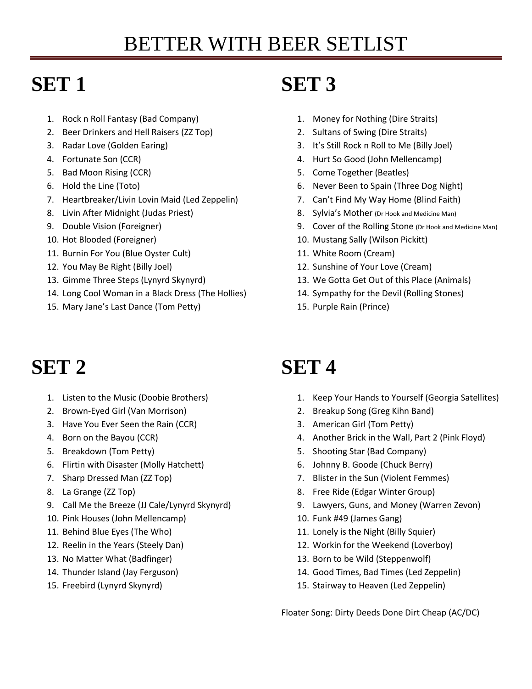# **SET 1**

- 1. Rock n Roll Fantasy (Bad Company)
- 2. Beer Drinkers and Hell Raisers (ZZ Top)
- 3. Radar Love (Golden Earing)
- 4. Fortunate Son (CCR)
- 5. Bad Moon Rising (CCR)
- 6. Hold the Line (Toto)
- 7. Heartbreaker/Livin Lovin Maid (Led Zeppelin)
- 8. Livin After Midnight (Judas Priest)
- 9. Double Vision (Foreigner)
- 10. Hot Blooded (Foreigner)
- 11. Burnin For You (Blue Oyster Cult)
- 12. You May Be Right (Billy Joel)
- 13. Gimme Three Steps (Lynyrd Skynyrd)
- 14. Long Cool Woman in a Black Dress (The Hollies)
- 15. Mary Jane's Last Dance (Tom Petty)

# **SET 2**

- 1. Listen to the Music (Doobie Brothers)
- 2. Brown-Eyed Girl (Van Morrison)
- 3. Have You Ever Seen the Rain (CCR)
- 4. Born on the Bayou (CCR)
- 5. Breakdown (Tom Petty)
- 6. Flirtin with Disaster (Molly Hatchett)
- 7. Sharp Dressed Man (ZZ Top)
- 8. La Grange (ZZ Top)
- 9. Call Me the Breeze (JJ Cale/Lynyrd Skynyrd)
- 10. Pink Houses (John Mellencamp)
- 11. Behind Blue Eyes (The Who)
- 12. Reelin in the Years (Steely Dan)
- 13. No Matter What (Badfinger)
- 14. Thunder Island (Jay Ferguson)
- 15. Freebird (Lynyrd Skynyrd)

#### **SET 3**

- 1. Money for Nothing (Dire Straits)
- 2. Sultans of Swing (Dire Straits)
- 3. It's Still Rock n Roll to Me (Billy Joel)
- 4. Hurt So Good (John Mellencamp)
- 5. Come Together (Beatles)
- 6. Never Been to Spain (Three Dog Night)
- 7. Can't Find My Way Home (Blind Faith)
- 8. Sylvia's Mother (Dr Hook and Medicine Man)
- 9. Cover of the Rolling Stone (Dr Hook and Medicine Man)
- 10. Mustang Sally (Wilson Pickitt)
- 11. White Room (Cream)
- 12. Sunshine of Your Love (Cream)
- 13. We Gotta Get Out of this Place (Animals)
- 14. Sympathy for the Devil (Rolling Stones)
- 15. Purple Rain (Prince)

# **SET 4**

- 1. Keep Your Hands to Yourself (Georgia Satellites)
- 2. Breakup Song (Greg Kihn Band)
- 3. American Girl (Tom Petty)
- 4. Another Brick in the Wall, Part 2 (Pink Floyd)
- 5. Shooting Star (Bad Company)
- 6. Johnny B. Goode (Chuck Berry)
- 7. Blister in the Sun (Violent Femmes)
- 8. Free Ride (Edgar Winter Group)
- 9. Lawyers, Guns, and Money (Warren Zevon)
- 10. Funk #49 (James Gang)
- 11. Lonely is the Night (Billy Squier)
- 12. Workin for the Weekend (Loverboy)
- 13. Born to be Wild (Steppenwolf)
- 14. Good Times, Bad Times (Led Zeppelin)
- 15. Stairway to Heaven (Led Zeppelin)

Floater Song: Dirty Deeds Done Dirt Cheap (AC/DC)